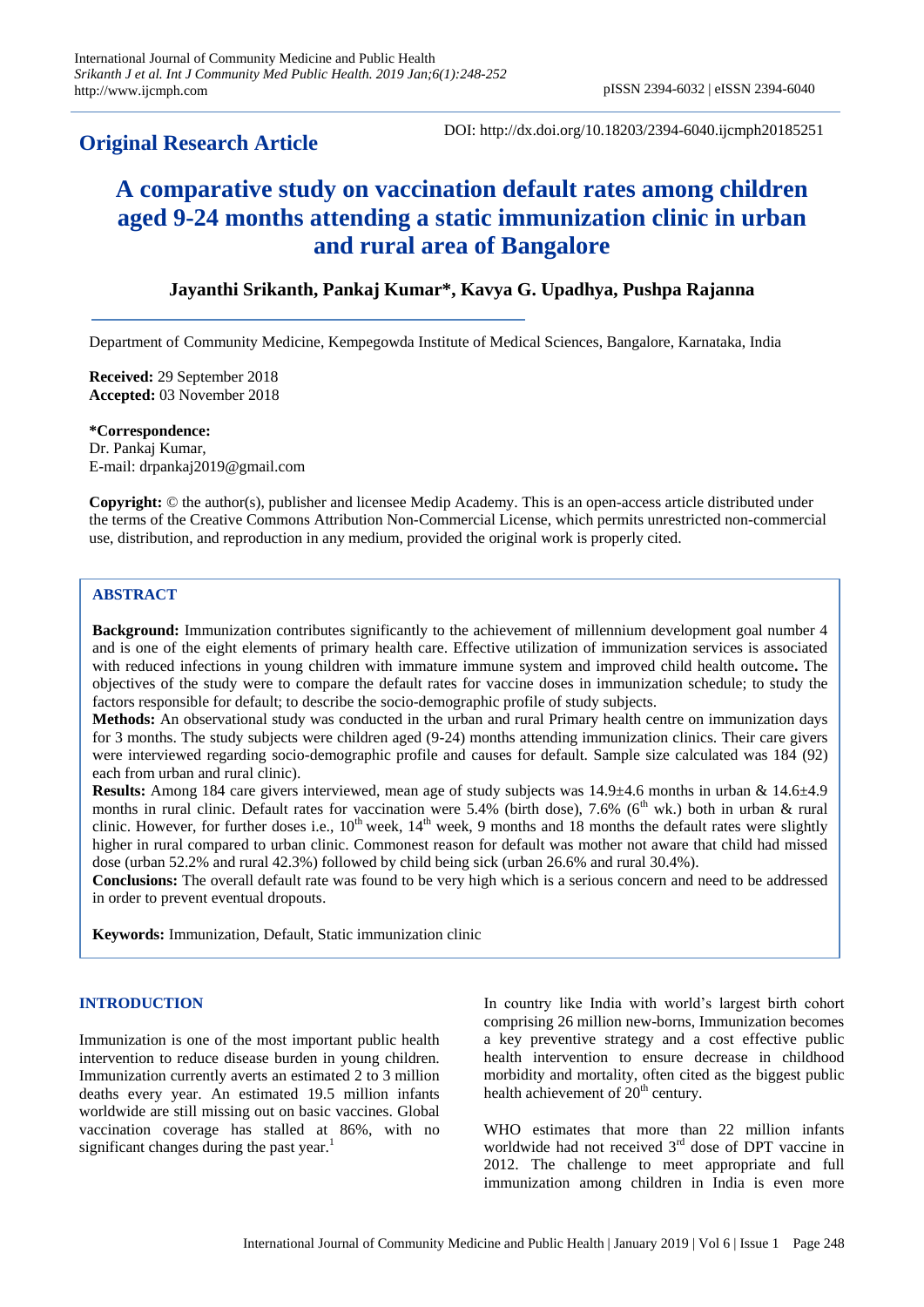# **Original Research Article**

DOI: http://dx.doi.org/10.18203/2394-6040.ijcmph20185251

# **A comparative study on vaccination default rates among children aged 9-24 months attending a static immunization clinic in urban and rural area of Bangalore**

# **Jayanthi Srikanth, Pankaj Kumar\*, Kavya G. Upadhya, Pushpa Rajanna**

Department of Community Medicine, Kempegowda Institute of Medical Sciences, Bangalore, Karnataka, India

**Received:** 29 September 2018 **Accepted:** 03 November 2018

**\*Correspondence:** Dr. Pankaj Kumar, E-mail: drpankaj2019@gmail.com

**Copyright:** © the author(s), publisher and licensee Medip Academy. This is an open-access article distributed under the terms of the Creative Commons Attribution Non-Commercial License, which permits unrestricted non-commercial use, distribution, and reproduction in any medium, provided the original work is properly cited.

# **ABSTRACT**

**Background:** Immunization contributes significantly to the achievement of millennium development goal number 4 and is one of the eight elements of primary health care. Effective utilization of immunization services is associated with reduced infections in young children with immature immune system and improved child health outcome**.** The objectives of the study were to compare the default rates for vaccine doses in immunization schedule; to study the factors responsible for default; to describe the socio-demographic profile of study subjects.

**Methods:** An observational study was conducted in the urban and rural Primary health centre on immunization days for 3 months. The study subjects were children aged (9-24) months attending immunization clinics. Their care givers were interviewed regarding socio-demographic profile and causes for default. Sample size calculated was 184 (92) each from urban and rural clinic).

**Results:** Among 184 care givers interviewed, mean age of study subjects was 14.9±4.6 months in urban & 14.6±4.9 months in rural clinic. Default rates for vaccination were 5.4% (birth dose), 7.6% (6<sup>th</sup> wk.) both in urban & rural clinic. However, for further doses i.e.,  $10^{th}$  week,  $14^{th}$  week, 9 months and 18 months the default rates were slightly higher in rural compared to urban clinic. Commonest reason for default was mother not aware that child had missed dose (urban 52.2% and rural 42.3%) followed by child being sick (urban 26.6% and rural 30.4%).

**Conclusions:** The overall default rate was found to be very high which is a serious concern and need to be addressed in order to prevent eventual dropouts.

**Keywords:** Immunization, Default, Static immunization clinic

#### **INTRODUCTION**

Immunization is one of the most important public health intervention to reduce disease burden in young children. Immunization currently averts an estimated 2 to 3 million deaths every year. An estimated 19.5 million infants worldwide are still missing out on basic vaccines. Global vaccination coverage has stalled at 86%, with no significant changes during the past year.<sup>1</sup>

In country like India with world's largest birth cohort comprising 26 million new-borns, Immunization becomes a key preventive strategy and a cost effective public health intervention to ensure decrease in childhood morbidity and mortality, often cited as the biggest public health achievement of  $20<sup>th</sup>$  century.

WHO estimates that more than 22 million infants worldwide had not received 3<sup>rd</sup> dose of DPT vaccine in 2012. The challenge to meet appropriate and full immunization among children in India is even more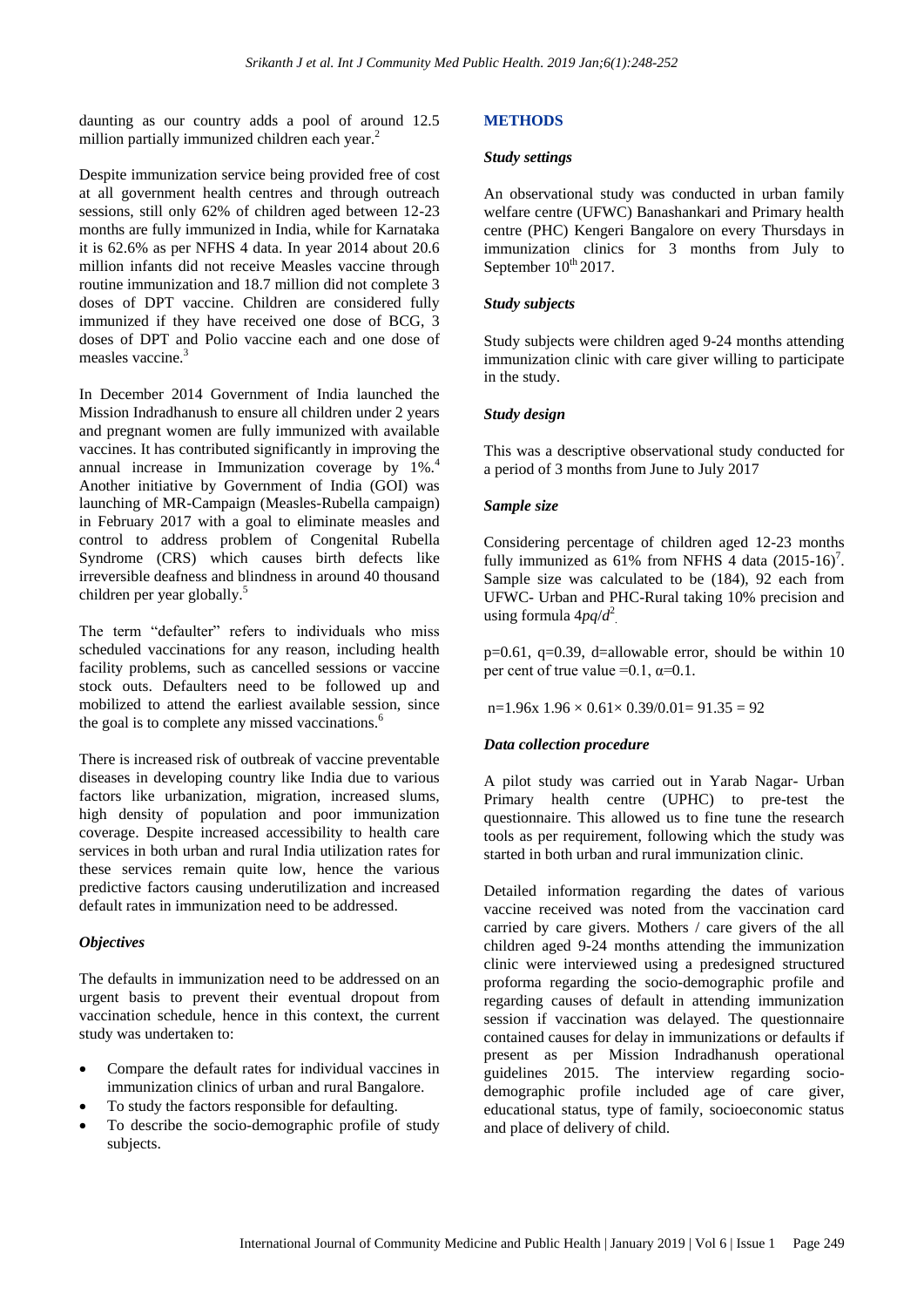daunting as our country adds a pool of around 12.5 million partially immunized children each year.<sup>2</sup>

Despite immunization service being provided free of cost at all government health centres and through outreach sessions, still only 62% of children aged between 12-23 months are fully immunized in India, while for Karnataka it is 62.6% as per NFHS 4 data. In year 2014 about 20.6 million infants did not receive Measles vaccine through routine immunization and 18.7 million did not complete 3 doses of DPT vaccine. Children are considered fully immunized if they have received one dose of BCG, 3 doses of DPT and Polio vaccine each and one dose of measles vaccine.<sup>3</sup>

In December 2014 Government of India launched the Mission Indradhanush to ensure all children under 2 years and pregnant women are fully immunized with available vaccines. It has contributed significantly in improving the annual increase in Immunization coverage by 1%.<sup>4</sup> Another initiative by Government of India (GOI) was launching of MR-Campaign (Measles-Rubella campaign) in February 2017 with a goal to eliminate measles and control to address problem of Congenital Rubella Syndrome (CRS) which causes birth defects like irreversible deafness and blindness in around 40 thousand children per year globally. 5

The term "defaulter" refers to individuals who miss scheduled vaccinations for any reason, including health facility problems, such as cancelled sessions or vaccine stock outs. Defaulters need to be followed up and mobilized to attend the earliest available session, since the goal is to complete any missed vaccinations. 6

There is increased risk of outbreak of vaccine preventable diseases in developing country like India due to various factors like urbanization, migration, increased slums, high density of population and poor immunization coverage. Despite increased accessibility to health care services in both urban and rural India utilization rates for these services remain quite low, hence the various predictive factors causing underutilization and increased default rates in immunization need to be addressed.

#### *Objectives*

The defaults in immunization need to be addressed on an urgent basis to prevent their eventual dropout from vaccination schedule, hence in this context, the current study was undertaken to:

- Compare the default rates for individual vaccines in immunization clinics of urban and rural Bangalore.
- To study the factors responsible for defaulting.
- To describe the socio-demographic profile of study subjects.

# **METHODS**

#### *Study settings*

An observational study was conducted in urban family welfare centre (UFWC) Banashankari and Primary health centre (PHC) Kengeri Bangalore on every Thursdays in immunization clinics for 3 months from July to September  $10^{th}$  2017.

#### *Study subjects*

Study subjects were children aged 9-24 months attending immunization clinic with care giver willing to participate in the study.

# *Study design*

This was a descriptive observational study conducted for a period of 3 months from June to July 2017

# *Sample size*

Considering percentage of children aged 12-23 months fully immunized as  $61\%$  from NFHS 4 data (2015-16)<sup>7</sup>. Sample size was calculated to be (184), 92 each from UFWC- Urban and PHC-Rural taking 10% precision and using formula 4*pq*/*d* 2 .

 $p=0.61$ ,  $q=0.39$ , d=allowable error, should be within 10 per cent of true value =0.1,  $\alpha$ =0.1.

 $n=1.96x$   $1.96 \times 0.61 \times 0.39/0.01 = 91.35 = 92$ 

# *Data collection procedure*

A pilot study was carried out in Yarab Nagar- Urban Primary health centre (UPHC) to pre-test the questionnaire. This allowed us to fine tune the research tools as per requirement, following which the study was started in both urban and rural immunization clinic.

Detailed information regarding the dates of various vaccine received was noted from the vaccination card carried by care givers. Mothers / care givers of the all children aged 9-24 months attending the immunization clinic were interviewed using a predesigned structured proforma regarding the socio-demographic profile and regarding causes of default in attending immunization session if vaccination was delayed. The questionnaire contained causes for delay in immunizations or defaults if present as per Mission Indradhanush operational guidelines 2015. The interview regarding sociodemographic profile included age of care giver, educational status, type of family, socioeconomic status and place of delivery of child.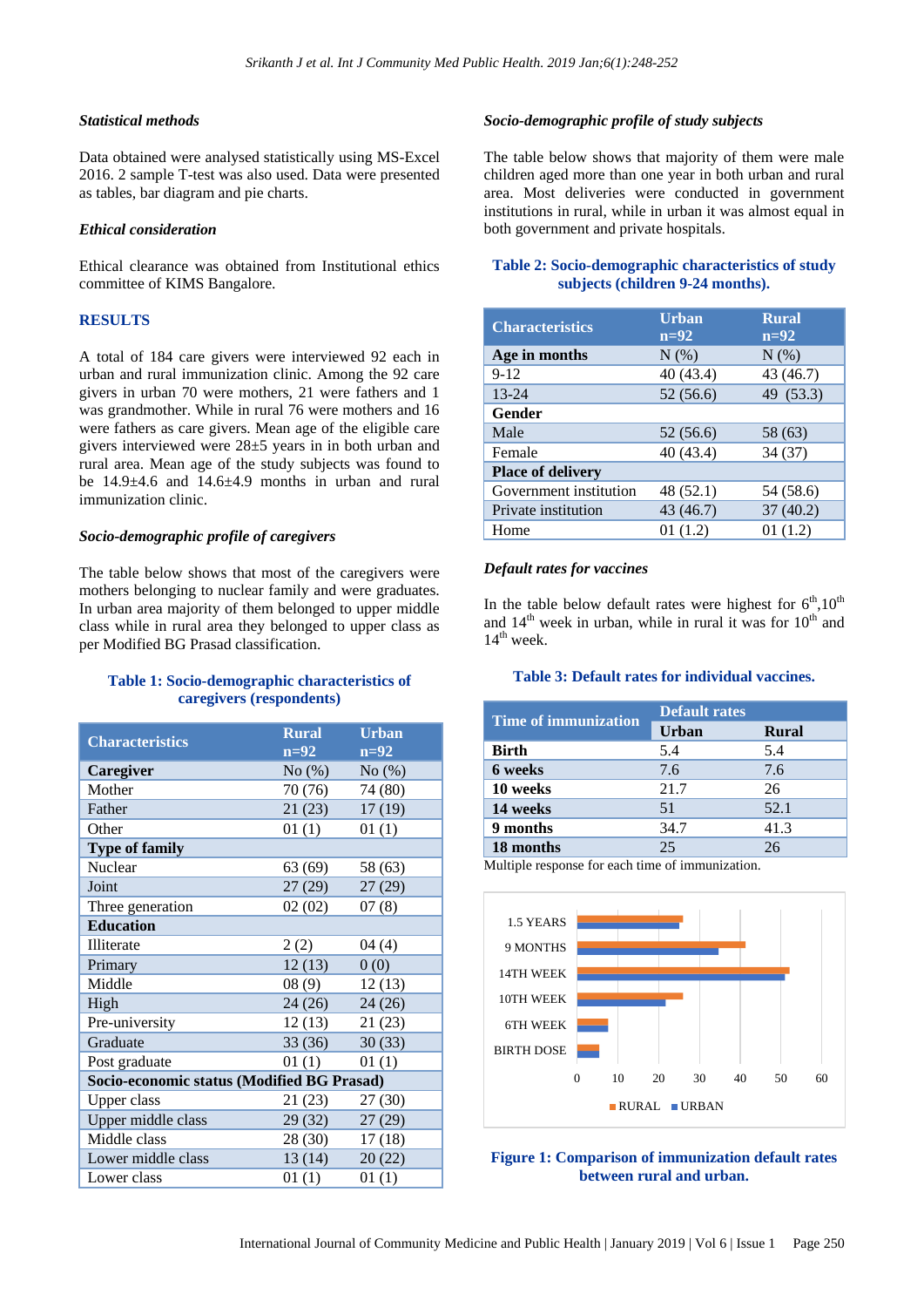#### *Statistical methods*

Data obtained were analysed statistically using MS-Excel 2016. 2 sample T-test was also used. Data were presented as tables, bar diagram and pie charts.

#### *Ethical consideration*

Ethical clearance was obtained from Institutional ethics committee of KIMS Bangalore.

#### **RESULTS**

A total of 184 care givers were interviewed 92 each in urban and rural immunization clinic. Among the 92 care givers in urban 70 were mothers, 21 were fathers and 1 was grandmother. While in rural 76 were mothers and 16 were fathers as care givers. Mean age of the eligible care givers interviewed were 28±5 years in in both urban and rural area. Mean age of the study subjects was found to be  $14.9\pm4.6$  and  $14.6\pm4.9$  months in urban and rural immunization clinic.

#### *Socio-demographic profile of caregivers*

The table below shows that most of the caregivers were mothers belonging to nuclear family and were graduates. In urban area majority of them belonged to upper middle class while in rural area they belonged to upper class as per Modified BG Prasad classification.

# **Table 1: Socio-demographic characteristics of caregivers (respondents)**

| <b>Characteristics</b>                     | <b>Rural</b><br>$n=92$ | <b>Urban</b><br>$n=92$ |  |  |
|--------------------------------------------|------------------------|------------------------|--|--|
| Caregiver                                  | No(%)                  | No(%)                  |  |  |
| Mother                                     | 70 (76)                | 74 (80)                |  |  |
| Father                                     | 21(23)                 | 17(19)                 |  |  |
| Other                                      | 01(1)                  | 01(1)                  |  |  |
| <b>Type of family</b>                      |                        |                        |  |  |
| Nuclear                                    | 63 (69)                | 58 (63)                |  |  |
| Joint                                      | 27 (29)                | 27(29)                 |  |  |
| Three generation                           | 02(02)                 | 07(8)                  |  |  |
| <b>Education</b>                           |                        |                        |  |  |
| <b>Illiterate</b>                          | 2(2)                   | 04(4)                  |  |  |
| Primary                                    | 12(13)                 | 0(0)                   |  |  |
| Middle                                     | 08(9)                  | 12(13)                 |  |  |
| High                                       | 24 (26)                | 24(26)                 |  |  |
| Pre-university                             | 12(13)                 | 21(23)                 |  |  |
| Graduate                                   | 33(36)                 | 30(33)                 |  |  |
| Post graduate                              | 01(1)                  | 01(1)                  |  |  |
| Socio-economic status (Modified BG Prasad) |                        |                        |  |  |
| <b>Upper class</b>                         | 21 (23)                | 27(30)                 |  |  |
| Upper middle class                         | 29 (32)                | 27(29)                 |  |  |
| Middle class                               | 28 (30)                | 17(18)                 |  |  |
| Lower middle class                         | 13(14)                 | 20(22)                 |  |  |
| Lower class                                | 01(1)                  | 01(1)                  |  |  |

#### *Socio-demographic profile of study subjects*

The table below shows that majority of them were male children aged more than one year in both urban and rural area. Most deliveries were conducted in government institutions in rural, while in urban it was almost equal in both government and private hospitals.

#### **Table 2: Socio-demographic characteristics of study subjects (children 9-24 months).**

| <b>Characteristics</b>   | <b>Urban</b><br>$n=92$ | <b>Rural</b><br>$n=92$ |
|--------------------------|------------------------|------------------------|
| Age in months            | $N(\%)$                | $N(\%)$                |
| $9-12$                   | 40 (43.4)              | 43 (46.7)              |
| $13 - 24$                | 52(56.6)               | 49 (53.3)              |
| Gender                   |                        |                        |
| Male                     | 52 (56.6)              | 58 (63)                |
| Female                   | 40 (43.4)              | 34(37)                 |
| <b>Place of delivery</b> |                        |                        |
| Government institution   | 48 (52.1)              | 54 (58.6)              |
| Private institution      | 43 (46.7)              | 37(40.2)               |
| Home                     | 01(1.2)                | 01(1.2)                |

#### *Default rates for vaccines*

In the table below default rates were highest for  $6<sup>th</sup>,10<sup>th</sup>$ and  $14<sup>th</sup>$  week in urban, while in rural it was for  $10<sup>th</sup>$  and  $14^{\text{th}}$  week.

#### **Table 3: Default rates for individual vaccines.**

|                             | <b>Default rates</b> |              |
|-----------------------------|----------------------|--------------|
| <b>Time of immunization</b> | <b>Urban</b>         | <b>Rural</b> |
| <b>Birth</b>                | 5.4                  | 5.4          |
| 6 weeks                     | 7.6                  | 7.6          |
| 10 weeks                    | 21.7                 | 26           |
| 14 weeks                    | 51                   | 52.1         |
| 9 months                    | 34.7                 | 41.3         |
| 18 months                   | 25                   | 26           |

Multiple response for each time of immunization.



**Figure 1: Comparison of immunization default rates between rural and urban.**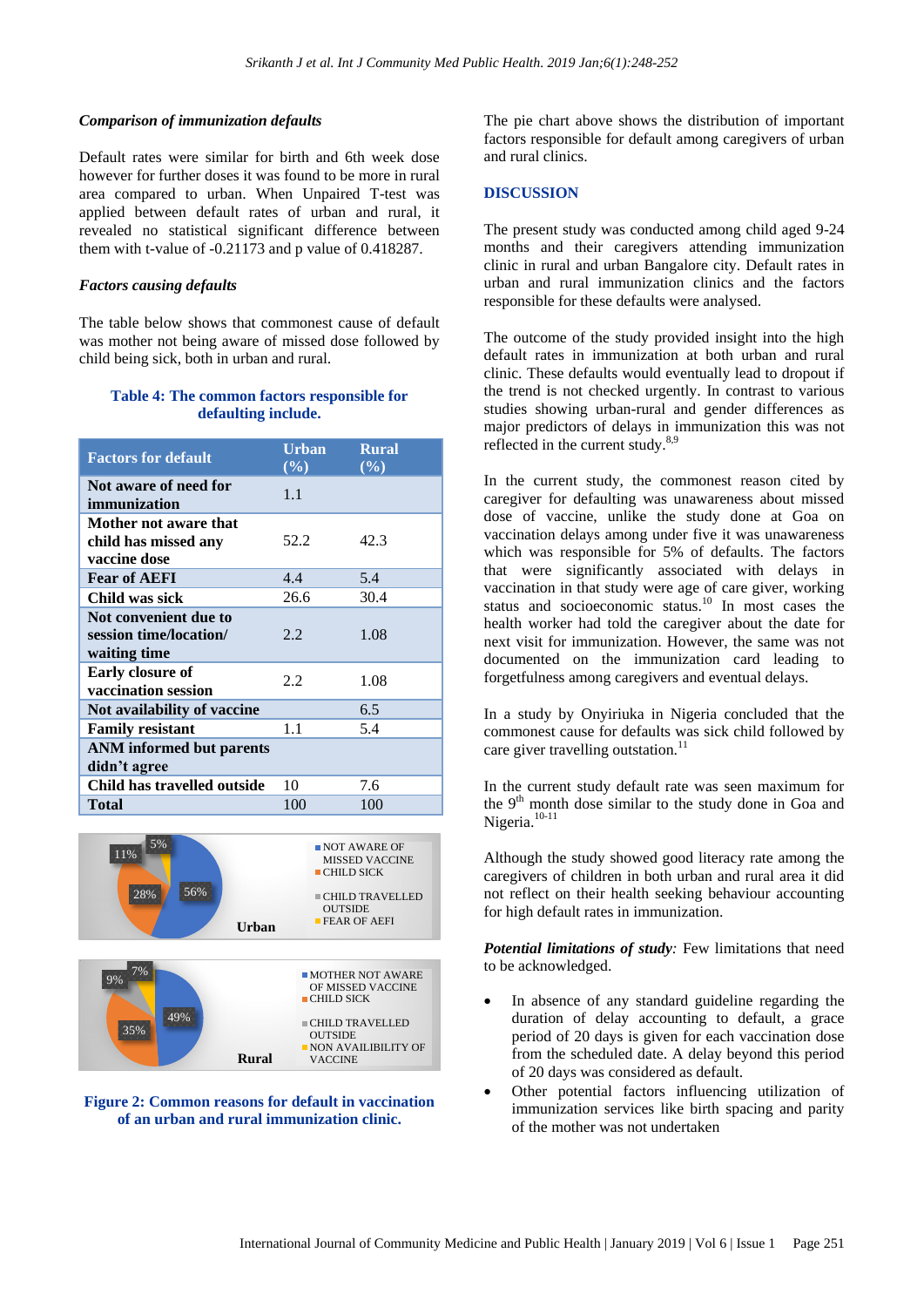#### *Comparison of immunization defaults*

Default rates were similar for birth and 6th week dose however for further doses it was found to be more in rural area compared to urban. When Unpaired T-test was applied between default rates of urban and rural, it revealed no statistical significant difference between them with t-value of -0.21173 and p value of 0.418287.

#### *Factors causing defaults*

The table below shows that commonest cause of default was mother not being aware of missed dose followed by child being sick, both in urban and rural.

#### **Table 4: The common factors responsible for defaulting include.**

| <b>Factors for default</b>                                      | <b>Urban</b><br>$($ %) | <b>Rural</b><br>$(\%)$ |
|-----------------------------------------------------------------|------------------------|------------------------|
| Not aware of need for<br>immunization                           | 1.1                    |                        |
| Mother not aware that<br>child has missed any<br>vaccine dose   | 52.2                   | 42.3                   |
| <b>Fear of AEFI</b>                                             | 4.4                    | 5.4                    |
| Child was sick                                                  | 26.6                   | 30.4                   |
| Not convenient due to<br>session time/location/<br>waiting time | 2.2                    | 1.08                   |
| Early closure of<br>vaccination session                         | 2.2                    | 1.08                   |
| Not availability of vaccine                                     |                        | 6.5                    |
| <b>Family resistant</b>                                         | 1.1                    | 5.4                    |
| <b>ANM</b> informed but parents<br>didn't agree                 |                        |                        |
| Child has travelled outside                                     | 10                     | 7.6                    |
| Total                                                           | 100                    | 100                    |





**Figure 2: Common reasons for default in vaccination of an urban and rural immunization clinic.**

The pie chart above shows the distribution of important factors responsible for default among caregivers of urban and rural clinics.

## **DISCUSSION**

The present study was conducted among child aged 9-24 months and their caregivers attending immunization clinic in rural and urban Bangalore city. Default rates in urban and rural immunization clinics and the factors responsible for these defaults were analysed.

The outcome of the study provided insight into the high default rates in immunization at both urban and rural clinic. These defaults would eventually lead to dropout if the trend is not checked urgently. In contrast to various studies showing urban-rural and gender differences as major predictors of delays in immunization this was not reflected in the current study.<sup>8,9</sup>

In the current study, the commonest reason cited by caregiver for defaulting was unawareness about missed dose of vaccine, unlike the study done at Goa on vaccination delays among under five it was unawareness which was responsible for 5% of defaults. The factors that were significantly associated with delays in vaccination in that study were age of care giver, working status and socioeconomic status. $10 \text{ In most cases the}$ health worker had told the caregiver about the date for next visit for immunization. However, the same was not documented on the immunization card leading to forgetfulness among caregivers and eventual delays.

In a study by Onyiriuka in Nigeria concluded that the commonest cause for defaults was sick child followed by care giver travelling outstation.<sup>11</sup>

In the current study default rate was seen maximum for the 9<sup>th</sup> month dose similar to the study done in Goa and Nigeria.<sup>10-11</sup>

Although the study showed good literacy rate among the caregivers of children in both urban and rural area it did not reflect on their health seeking behaviour accounting for high default rates in immunization.

*Potential limitations of study:* Few limitations that need to be acknowledged.

- In absence of any standard guideline regarding the duration of delay accounting to default, a grace period of 20 days is given for each vaccination dose from the scheduled date. A delay beyond this period of 20 days was considered as default.
- Other potential factors influencing utilization of immunization services like birth spacing and parity of the mother was not undertaken